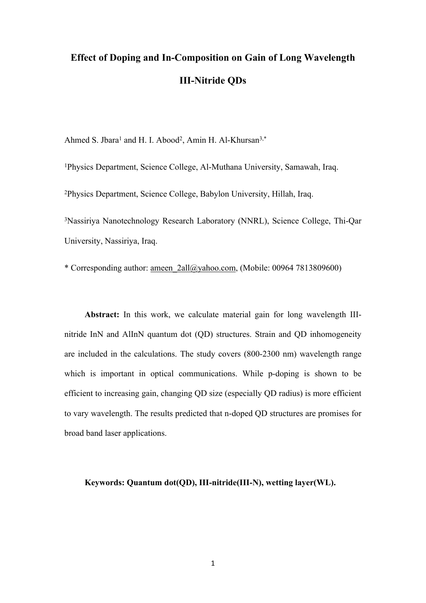# **Effect of Doping and In-Composition on Gain of Long Wavelength III-Nitride QDs**

Ahmed S. Jbara<sup>1</sup> and H. I. Abood<sup>2</sup>, Amin H. Al-Khursan<sup>3,\*</sup>

<sup>1</sup>Physics Department, Science College, Al-Muthana University, Samawah, Iraq.

<sup>2</sup>Physics Department, Science College, Babylon University, Hillah, Iraq.

<sup>3</sup>Nassiriya Nanotechnology Research Laboratory (NNRL), Science College, Thi-Qar University, Nassiriya, Iraq.

\* Corresponding author: [ameen\\_2all@yahoo.com,](mailto:ameen_2all@yahoo.com) (Mobile: 00964 7813809600)

**Abstract:** In this work, we calculate material gain for long wavelength IIInitride InN and AlInN quantum dot (QD) structures. Strain and QD inhomogeneity are included in the calculations. The study covers (800-2300 nm) wavelength range which is important in optical communications. While p-doping is shown to be efficient to increasing gain, changing QD size (especially QD radius) is more efficient to vary wavelength. The results predicted that n-doped QD structures are promises for broad band laser applications.

**Keywords: Quantum dot(QD), III-nitride(III-N), wetting layer(WL).**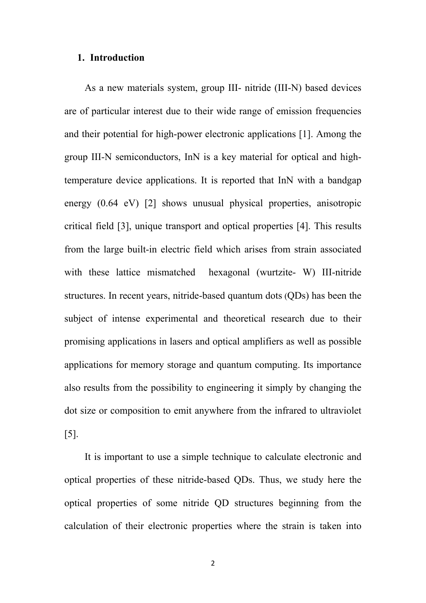#### **1. Introduction**

As a new materials system, group III- nitride (III-N) based devices are of particular interest due to their wide range of emission frequencies and their potential for high-power electronic applications [1]. Among the group III-N semiconductors, InN is a key material for optical and hightemperature device applications. It is reported that InN with a bandgap energy (0.64 eV) [2] shows unusual physical properties, anisotropic critical field [3], unique transport and optical properties [4]. This results from the large built-in electric field which arises from strain associated with these lattice mismatched hexagonal (wurtzite- W) III-nitride structures. In recent years, nitride-based quantum dots (QDs) has been the subject of intense experimental and theoretical research due to their promising applications in lasers and optical amplifiers as well as possible applications for memory storage and quantum computing. Its importance also results from the possibility to engineering it simply by changing the dot size or composition to emit anywhere from the infrared to ultraviolet [5].

It is important to use a simple technique to calculate electronic and optical properties of these nitride-based QDs. Thus, we study here the optical properties of some nitride QD structures beginning from the calculation of their electronic properties where the strain is taken into

2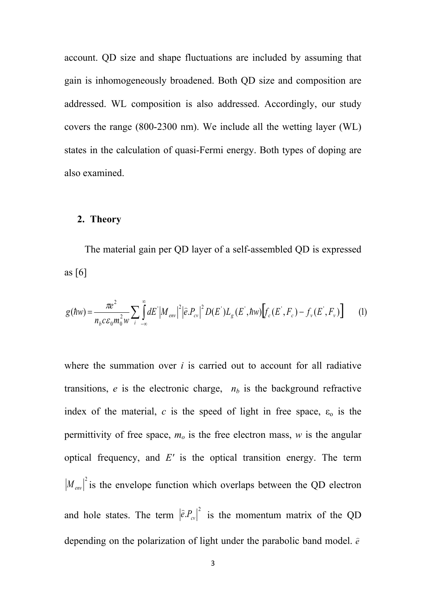account. QD size and shape fluctuations are included by assuming that gain is inhomogeneously broadened. Both QD size and composition are addressed. WL composition is also addressed. Accordingly, our study covers the range (800-2300 nm). We include all the wetting layer (WL) states in the calculation of quasi-Fermi energy. Both types of doping are also examined.

#### **2. Theory**

The material gain per QD layer of a self-assembled QD is expressed as [6]

$$
g(\hbar w) = \frac{\pi e^2}{n_b c \varepsilon_0 m_0^2 w} \sum_{i=-\infty}^{\infty} dE' |M_{env}|^2 |\hat{e}.P_{cv}|^2 D(E') L_g(E', \hbar w) \Big[ f_c(E', F_c) - f_v(E', F_v) \Big]
$$
 (1)

where the summation over *i* is carried out to account for all radiative transitions,  $e$  is the electronic charge,  $n<sub>b</sub>$  is the background refractive index of the material, *c* is the speed of light in free space,  $\varepsilon_0$  is the permittivity of free space,  $m<sub>o</sub>$  is the free electron mass,  $w$  is the angular optical frequency, and *E'* is the optical transition energy. The term  $M_{\text{env}}|^2$  is the envelope function which overlaps between the QD electron and hole states. The term  $|\hat{e} \cdot P_{c\nu}|^2$  is the momentum matrix of the QD depending on the polarization of light under the parabolic band model. *e*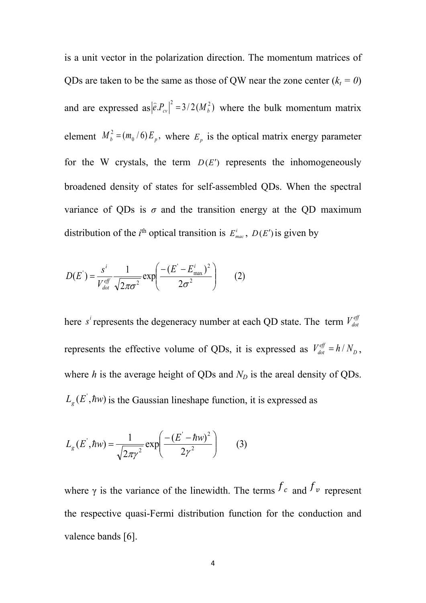is a unit vector in the polarization direction. The momentum matrices of QDs are taken to be the same as those of QW near the zone center  $(k<sub>t</sub> = 0)$ and are expressed as  $|\hat{e}P_{cv}|^2 = 3/2(M_b^2)$  where the bulk momentum matrix element  $M_b^2 = (m_0 / 6) E_p$ , where  $E_p$  is the optical matrix energy parameter for the W crystals, the term  $D(E')$  represents the inhomogeneously broadened density of states for self-assembled QDs. When the spectral variance of QDs is  $\sigma$  and the transition energy at the QD maximum distribution of the *i*<sup>th</sup> optical transition is  $E_{\text{mac}}^i$ ,  $D(E')$  is given by

$$
D(E^{\prime}) = \frac{s^i}{V_{dot}^{eff}} \frac{1}{\sqrt{2\pi\sigma^2}} \exp\left(\frac{-(E^{\prime} - E_{\text{max}}^i)^2}{2\sigma^2}\right) \tag{2}
$$

here *s*<sup>*i*</sup> represents the degeneracy number at each QD state. The term  $V_{dot}^{eff}$ represents the effective volume of QDs, it is expressed as  $V_{dot}^{eff} = h/N_D$ , where  $h$  is the average height of QDs and  $N_D$  is the areal density of QDs.  $L_g(E^{\prime}, \hbar w)$  is the Gaussian lineshape function, it is expressed as

$$
L_g(E^{\dagger}, \hbar w) = \frac{1}{\sqrt{2\pi\gamma^2}} \exp\left(\frac{-(E^{\dagger} - \hbar w)^2}{2\gamma^2}\right) \tag{3}
$$

where  $\gamma$  is the variance of the linewidth. The terms  $f_c$  and  $f_v$  represent the respective quasi-Fermi distribution function for the conduction and valence bands [6].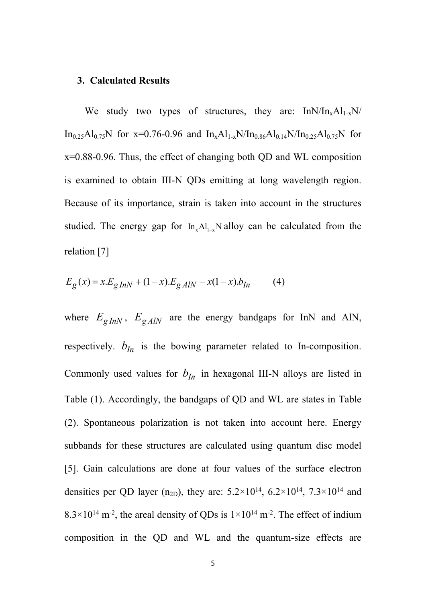#### **3. Calculated Results**

We study two types of structures, they are:  $In N/In_xAl_{1-x}N/$ In<sub>0.25</sub>Al<sub>0.75</sub>N for x=0.76-0.96 and In<sub>x</sub>Al<sub>1-x</sub>N/In<sub>0.86</sub>Al<sub>0.14</sub>N/In<sub>0.25</sub>Al<sub>0.75</sub>N for x=0.88-0.96. Thus, the effect of changing both QD and WL composition is examined to obtain III-N QDs emitting at long wavelength region. Because of its importance, strain is taken into account in the structures studied. The energy gap for  $In_xAl_{1-x}N$  alloy can be calculated from the relation [7]

$$
E_g(x) = x.E_{gInN} + (1-x).E_{gAlN} - x(1-x).b_{In}
$$
 (4)

where  $E_{gInN}$ ,  $E_{gAlN}$  are the energy bandgaps for InN and AlN, respectively.  $b_{In}$  is the bowing parameter related to In-composition. Commonly used values for  $b_{1n}$  in hexagonal III-N alloys are listed in Table (1). Accordingly, the bandgaps of QD and WL are states in Table (2). Spontaneous polarization is not taken into account here. Energy subbands for these structures are calculated using quantum disc model [5]. Gain calculations are done at four values of the surface electron densities per QD layer (n<sub>2D</sub>), they are:  $5.2 \times 10^{14}$ ,  $6.2 \times 10^{14}$ ,  $7.3 \times 10^{14}$  and  $8.3 \times 10^{14}$  m<sup>-2</sup>, the areal density of QDs is  $1 \times 10^{14}$  m<sup>-2</sup>. The effect of indium composition in the QD and WL and the quantum-size effects are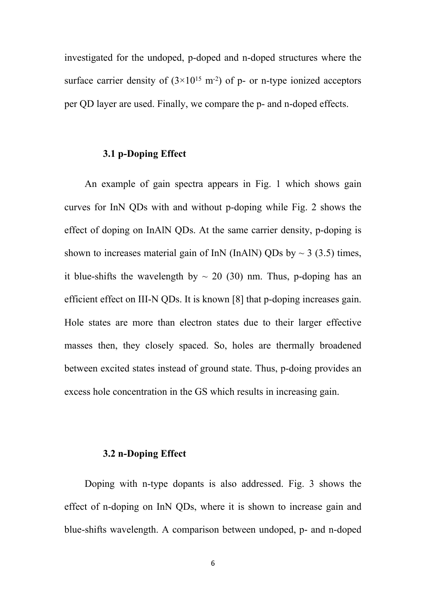investigated for the undoped, p-doped and n-doped structures where the surface carrier density of  $(3\times10^{15} \text{ m}^2)$  of p- or n-type ionized acceptors per QD layer are used. Finally, we compare the p- and n-doped effects.

#### **3.1 p-Doping Effect**

An example of gain spectra appears in Fig. 1 which shows gain curves for InN QDs with and without p-doping while Fig. 2 shows the effect of doping on InAlN QDs. At the same carrier density, p-doping is shown to increases material gain of InN (InAlN) QDs by  $\sim$  3 (3.5) times, it blue-shifts the wavelength by  $\sim$  20 (30) nm. Thus, p-doping has an efficient effect on III-N QDs. It is known [8] that p-doping increases gain. Hole states are more than electron states due to their larger effective masses then, they closely spaced. So, holes are thermally broadened between excited states instead of ground state. Thus, p-doing provides an excess hole concentration in the GS which results in increasing gain.

#### **3.2 n-Doping Effect**

Doping with n-type dopants is also addressed. Fig. 3 shows the effect of n-doping on InN QDs, where it is shown to increase gain and blue-shifts wavelength. A comparison between undoped, p- and n-doped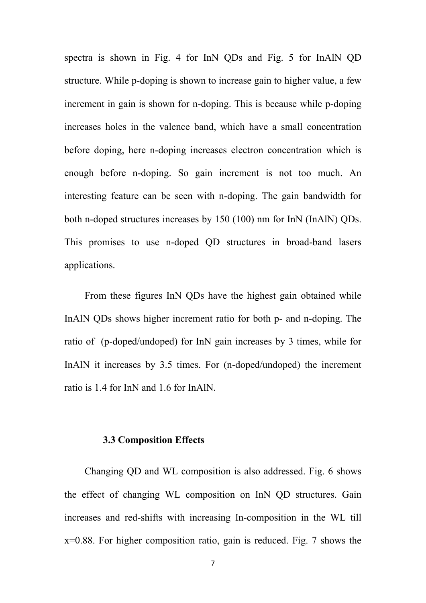spectra is shown in Fig. 4 for InN QDs and Fig. 5 for InAlN QD structure. While p-doping is shown to increase gain to higher value, a few increment in gain is shown for n-doping. This is because while p-doping increases holes in the valence band, which have a small concentration before doping, here n-doping increases electron concentration which is enough before n-doping. So gain increment is not too much. An interesting feature can be seen with n-doping. The gain bandwidth for both n-doped structures increases by 150 (100) nm for InN (InAlN) QDs. This promises to use n-doped QD structures in broad-band lasers applications.

From these figures InN QDs have the highest gain obtained while InAlN QDs shows higher increment ratio for both p- and n-doping. The ratio of (p-doped/undoped) for InN gain increases by 3 times, while for InAlN it increases by 3.5 times. For (n-doped/undoped) the increment ratio is 1.4 for InN and 1.6 for InAlN.

#### **3.3 Composition Effects**

Changing QD and WL composition is also addressed. Fig. 6 shows the effect of changing WL composition on InN QD structures. Gain increases and red-shifts with increasing In-composition in the WL till x=0.88. For higher composition ratio, gain is reduced. Fig. 7 shows the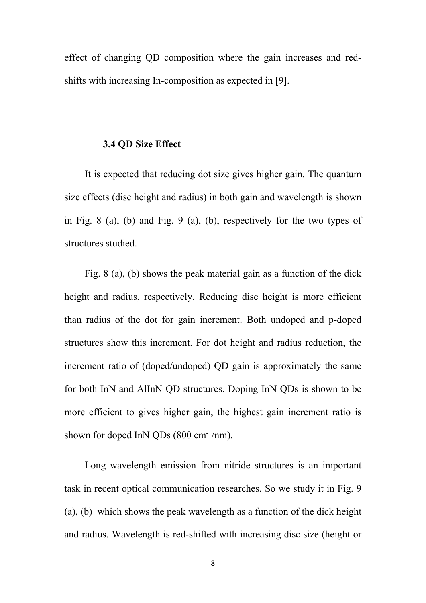effect of changing QD composition where the gain increases and redshifts with increasing In-composition as expected in [9].

#### **3.4 QD Size Effect**

It is expected that reducing dot size gives higher gain. The quantum size effects (disc height and radius) in both gain and wavelength is shown in Fig. 8 (a), (b) and Fig. 9 (a), (b), respectively for the two types of structures studied.

Fig. 8 (a), (b) shows the peak material gain as a function of the dick height and radius, respectively. Reducing disc height is more efficient than radius of the dot for gain increment. Both undoped and p-doped structures show this increment. For dot height and radius reduction, the increment ratio of (doped/undoped) QD gain is approximately the same for both InN and AlInN QD structures. Doping InN QDs is shown to be more efficient to gives higher gain, the highest gain increment ratio is shown for doped InN ODs  $(800 \text{ cm}^{-1}/\text{nm})$ .

Long wavelength emission from nitride structures is an important task in recent optical communication researches. So we study it in Fig. 9 (a), (b) which shows the peak wavelength as a function of the dick height and radius. Wavelength is red-shifted with increasing disc size (height or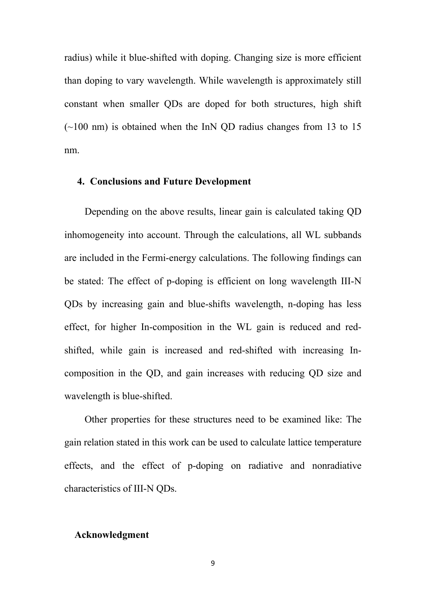radius) while it blue-shifted with doping. Changing size is more efficient than doping to vary wavelength. While wavelength is approximately still constant when smaller QDs are doped for both structures, high shift  $(-100 \text{ nm})$  is obtained when the InN QD radius changes from 13 to 15 nm.

#### **4. Conclusions and Future Development**

Depending on the above results, linear gain is calculated taking QD inhomogeneity into account. Through the calculations, all WL subbands are included in the Fermi-energy calculations. The following findings can be stated: The effect of p-doping is efficient on long wavelength III-N QDs by increasing gain and blue-shifts wavelength, n-doping has less effect, for higher In-composition in the WL gain is reduced and redshifted, while gain is increased and red-shifted with increasing Incomposition in the QD, and gain increases with reducing QD size and wavelength is blue-shifted.

Other properties for these structures need to be examined like: The gain relation stated in this work can be used to calculate lattice temperature effects, and the effect of p-doping on radiative and nonradiative characteristics of III-N QDs.

#### **Acknowledgment**

9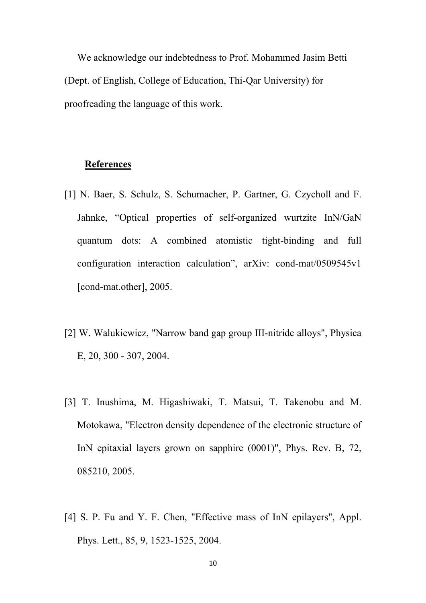We acknowledge our indebtedness to Prof. Mohammed Jasim Betti (Dept. of English, College of Education, Thi-Qar University) for proofreading the language of this work.

#### **References**

- [1] N. Baer, S. Schulz, S. Schumacher, P. Gartner, G. Czycholl and F. Jahnke, "Optical properties of self-organized wurtzite InN/GaN quantum dots: A combined atomistic tight-binding and full configuration interaction calculation", arXiv: cond-mat/0509545v1 [cond-mat.other], 2005.
- [2] W. Walukiewicz, "Narrow band gap group III-nitride alloys", Physica E, 20, 300 - 307, 2004.
- [3] T. Inushima, M. Higashiwaki, T. Matsui, T. Takenobu and M. Motokawa, "Electron density dependence of the electronic structure of InN epitaxial layers grown on sapphire (0001)", Phys. Rev. B, 72, 085210, 2005.
- [4] S. P. Fu and Y. F. Chen, "Effective mass of InN epilayers", Appl. Phys. Lett., 85, 9, 1523-1525, 2004.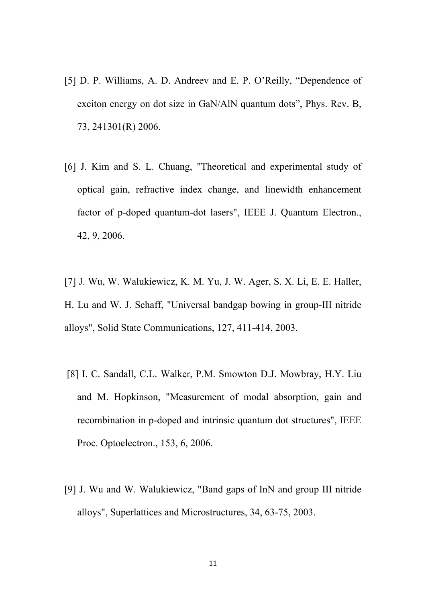- [5] D. P. Williams, A. D. Andreev and E. P. O'Reilly, "Dependence of exciton energy on dot size in GaN/AlN quantum dots", Phys. Rev. B, 73, 241301(R) 2006.
- [6] J. Kim and S. L. Chuang, "Theoretical and experimental study of optical gain, refractive index change, and linewidth enhancement factor of p-doped quantum-dot lasers", IEEE J. Quantum Electron., 42, 9, 2006.
- [7] J. Wu, W. Walukiewicz, K. M. Yu, J. W. Ager, S. X. Li, E. E. Haller, H. Lu and W. J. Schaff, "Universal bandgap bowing in group-III nitride alloys", Solid State Communications, 127, 411-414, 2003.
- [8] I. C. Sandall, C.L. Walker, P.M. Smowton D.J. Mowbray, H.Y. Liu and M. Hopkinson, "Measurement of modal absorption, gain and recombination in p-doped and intrinsic quantum dot structures", IEEE Proc. Optoelectron., 153, 6, 2006.
- [9] J. Wu and W. Walukiewicz, "Band gaps of InN and group III nitride alloys", Superlattices and Microstructures, 34, 63-75, 2003.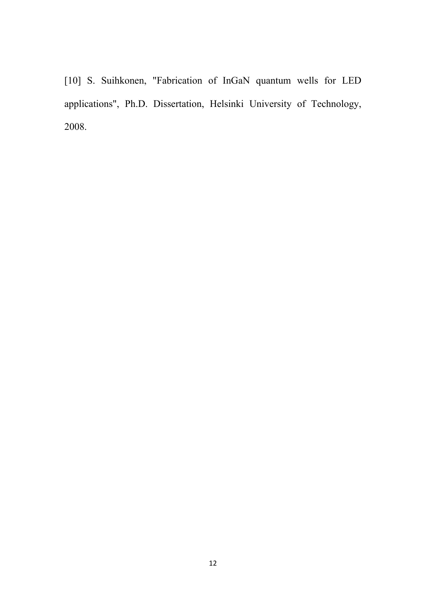[10] S. Suihkonen, "Fabrication of InGaN quantum wells for LED applications", Ph.D. Dissertation, Helsinki University of Technology, 2008.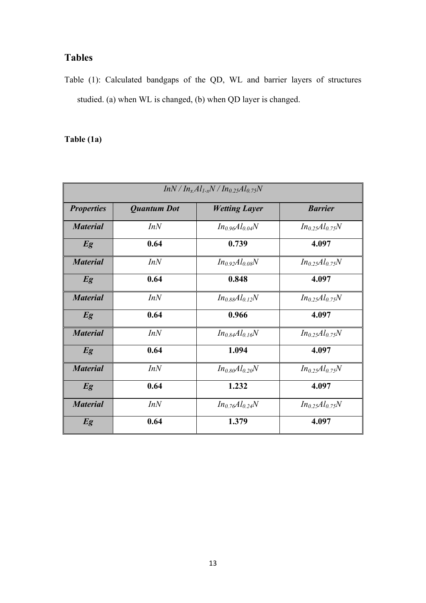### **Tables**

Table (1): Calculated bandgaps of the QD, WL and barrier layers of structures studied. (a) when WL is changed, (b) when QD layer is changed.

### **Table (1a)**

| $InN/In_xAl_{1-x}N/In_{0.25}Al_{0.75}N$ |                    |                       |                       |  |
|-----------------------------------------|--------------------|-----------------------|-----------------------|--|
| <b>Properties</b>                       | <b>Quantum Dot</b> | <b>Wetting Layer</b>  | <b>Barrier</b>        |  |
| <b>Material</b>                         | InN                | $In_{0.96}Al_{0.04}N$ | $In_{0.25}Al_{0.75}N$ |  |
| Eg                                      | 0.64               | 0.739                 | 4.097                 |  |
| <b>Material</b>                         | InN                | $In_{0.92}Al_{0.08}N$ | $In_{0.25}Al_{0.75}N$ |  |
| Eg                                      | 0.64               | 0.848                 | 4.097                 |  |
| <b>Material</b>                         | InN                | $In_{0.88}Al_{0.12}N$ | $In_{0.25}Al_{0.75}N$ |  |
| Eg                                      | 0.64               | 0.966                 | 4.097                 |  |
| <b>Material</b>                         | InN                | $In_{0.84}Al_{0.16}N$ | $In_{0.25}Al_{0.75}N$ |  |
| Eg                                      | 0.64               | 1.094                 | 4.097                 |  |
| <b>Material</b>                         | InN                | $In_{0.80}Al_{0.20}N$ | $In_{0.25}Al_{0.75}N$ |  |
| Eg                                      | 0.64               | 1.232                 | 4.097                 |  |
| <b>Material</b>                         | InN                | $In_{0.76}Al_{0.24}N$ | $In_{0.25}Al_{0.75}N$ |  |
| Eg                                      | 0.64               | 1.379                 | 4.097                 |  |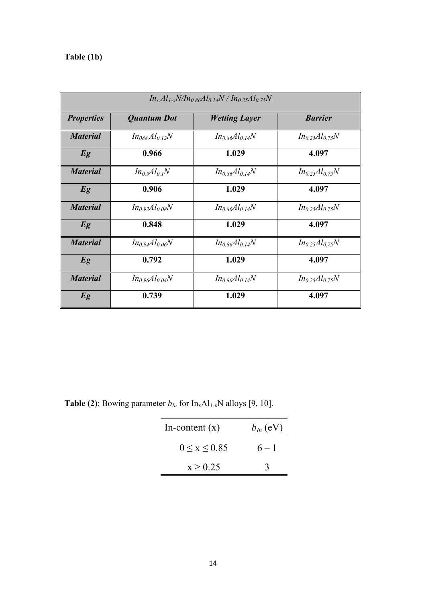## **Table (1b)**

| $In_xAl_{1-x}N/In_{0.86}Al_{0.14}N/In_{0.25}Al_{0.75}N$ |                            |                       |                       |  |
|---------------------------------------------------------|----------------------------|-----------------------|-----------------------|--|
| <b>Properties</b>                                       | <b>Quantum Dot</b>         | <b>Wetting Layer</b>  | <b>Barrier</b>        |  |
| <b>Material</b>                                         | $In_{088}Al_{0.12}N$       | $In_{0.86}Al_{0.14}N$ | $In_{0.25}Al_{0.75}N$ |  |
| Eg                                                      | 0.966                      | 1.029                 | 4.097                 |  |
| <b>Material</b>                                         | $In_0 \mathcal{A}l_{0,I}N$ | $In_{0.86}Al_{0.14}N$ | $In_{0.25}Al_{0.75}N$ |  |
| Eg                                                      | 0.906                      | 1.029                 | 4.097                 |  |
| <b>Material</b>                                         | $In_{0.92}Al_{0.08}N$      | $In_{0.86}Al_{0.14}N$ | $In_{0.25}Al_{0.75}N$ |  |
| Eg                                                      | 0.848                      | 1.029                 | 4.097                 |  |
| <b>Material</b>                                         | $In_{0.94}Al_{0.06}N$      | $In_{0.86}Al_{0.14}N$ | $In_{0.25}Al_{0.75}N$ |  |
| Eg                                                      | 0.792                      | 1.029                 | 4.097                 |  |
| <b>Material</b>                                         | $In_{0.96}Al_{0.04}N$      | $In_{0.86}Al_{0.14}N$ | $In_{0.25}Al_{0.75}N$ |  |
| Eg                                                      | 0.739                      | 1.029                 | 4.097                 |  |

**Table (2)**: Bowing parameter  $b_{In}$  for  $In_xAl_{1-x}N$  alloys [9, 10].

| In-content $(x)$   | $b_{ln}$ (eV) |
|--------------------|---------------|
| $0 \le x \le 0.85$ | $6 - 1$       |
| x > 0.25           |               |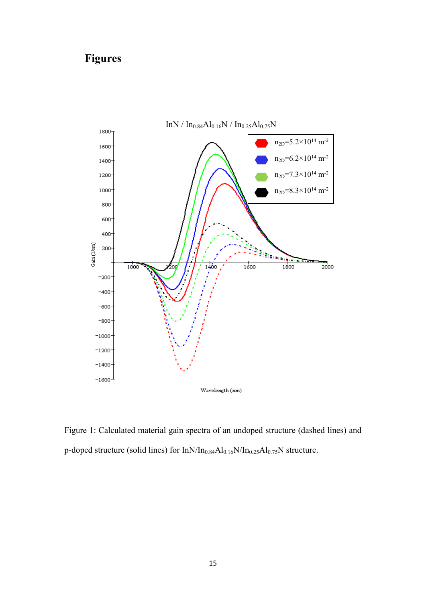## **Figures**



Figure 1: Calculated material gain spectra of an undoped structure (dashed lines) and p-doped structure (solid lines) for  $InN/In<sub>0.84</sub>Al<sub>0.16</sub>N/In<sub>0.25</sub>Al<sub>0.75</sub>N$  structure.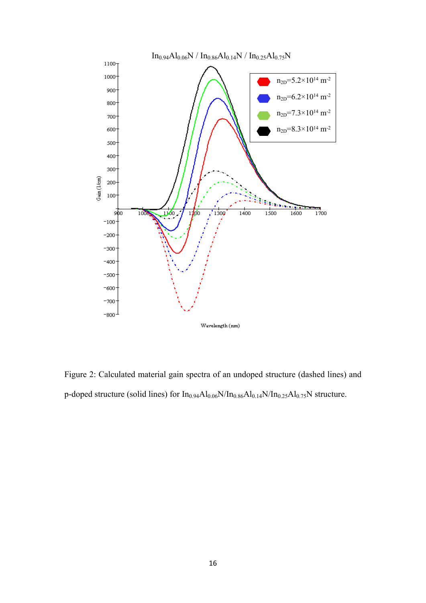

Figure 2: Calculated material gain spectra of an undoped structure (dashed lines) and p-doped structure (solid lines) for  $In<sub>0.94</sub>Al<sub>0.06</sub>N/In<sub>0.86</sub>Al<sub>0.14</sub>N/In<sub>0.25</sub>Al<sub>0.75</sub>N structure.$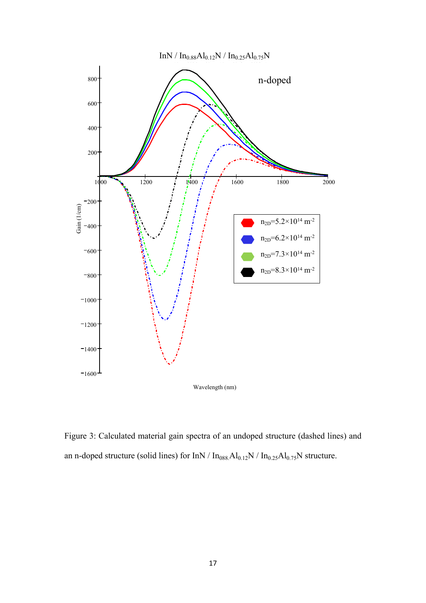$InN / In<sub>0.88</sub>Al<sub>0.12</sub>N / In<sub>0.25</sub>Al<sub>0.75</sub>N$ 



Figure 3: Calculated material gain spectra of an undoped structure (dashed lines) and an n-doped structure (solid lines) for InN /  $\rm In_{088}Al_{0.12}N$  /  $\rm In_{0.25}Al_{0.75}N$  structure.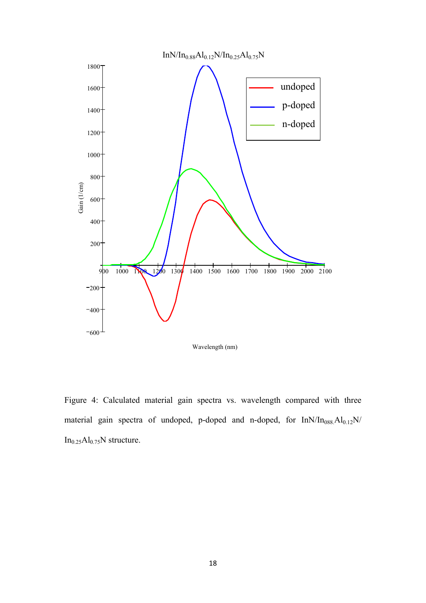

Figure 4: Calculated material gain spectra vs. wavelength compared with three material gain spectra of undoped, p-doped and n-doped, for  $InN/In_{088}Al_{0.12}N/$  $In<sub>0.25</sub>Al<sub>0.75</sub>N structure.$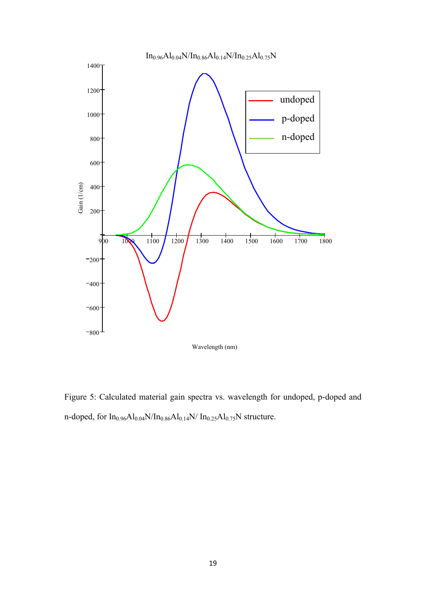

Figure 5: Calculated material gain spectra vs. wavelength for undoped, p-doped and n-doped, for  $In_{0.96}Al_{0.04}N/In_{0.86}Al_{0.14}N/ In_{0.25}Al_{0.75}N$  structure.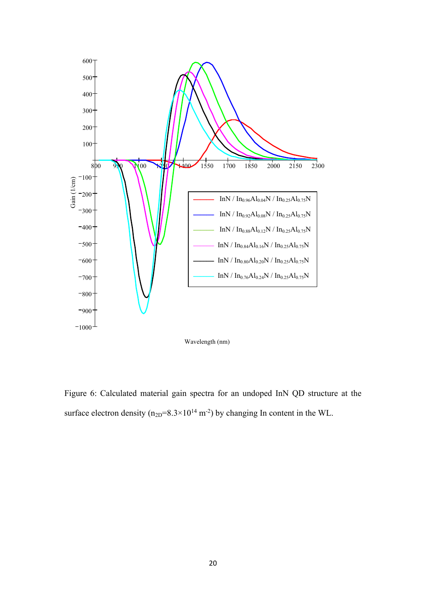

Figure 6: Calculated material gain spectra for an undoped InN QD structure at the surface electron density ( $n_{2D}=8.3\times10^{14}$  m<sup>-2</sup>) by changing In content in the WL.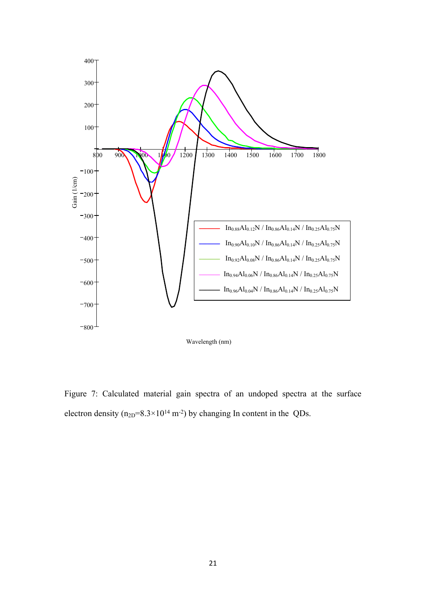

Figure 7: Calculated material gain spectra of an undoped spectra at the surface electron density ( $n_{2D}=8.3\times10^{14}$  m<sup>-2</sup>) by changing In content in the QDs.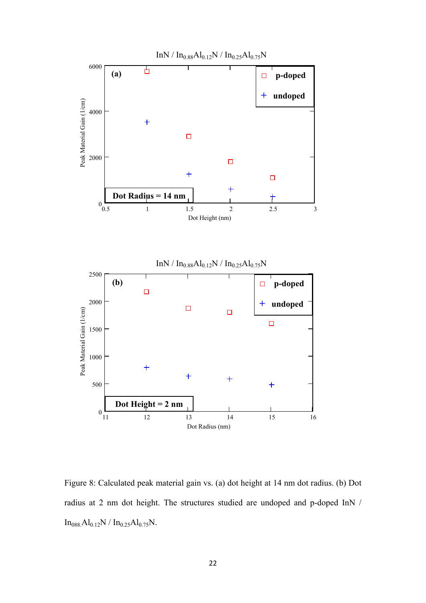

Figure 8: Calculated peak material gain vs. (a) dot height at 14 nm dot radius. (b) Dot radius at 2 nm dot height. The structures studied are undoped and p-doped InN /  $In<sub>088</sub>Al<sub>0.12</sub>N / In<sub>0.25</sub>Al<sub>0.75</sub>N.$